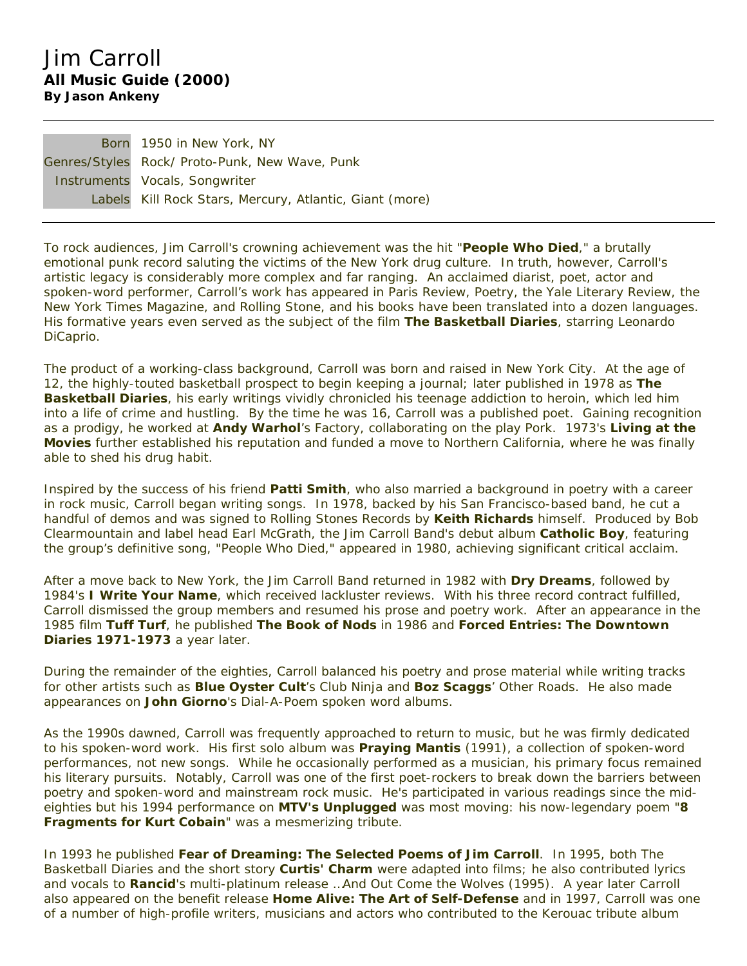## Jim Carroll *All Music Guide* **(2000) By Jason Ankeny**

Born 1950 in New York, NY Genres/Styles Rock/ Proto-Punk, New Wave, Punk Instruments Vocals, Songwriter Labels Kill Rock Stars, Mercury, Atlantic, Giant (*more*)

To rock audiences, Jim Carroll's crowning achievement was the hit "**People Who Died**," a brutally emotional punk record saluting the victims of the New York drug culture. In truth, however, Carroll's artistic legacy is considerably more complex and far ranging. An acclaimed diarist, poet, actor and spoken-word performer, Carroll's work has appeared in *Paris Review*, *Poetry*, the *Yale Literary Review*, the *New York Times Magazine*, and *Rolling Stone*, and his books have been translated into a dozen languages. His formative years even served as the subject of the film **The Basketball Diaries**, starring Leonardo DiCaprio.

The product of a working-class background, Carroll was born and raised in New York City. At the age of 12, the highly-touted basketball prospect to begin keeping a journal; later published in 1978 as **The Basketball Diaries**, his early writings vividly chronicled his teenage addiction to heroin, which led him into a life of crime and hustling. By the time he was 16, Carroll was a published poet. Gaining recognition as a prodigy, he worked at **Andy Warhol**'s Factory, collaborating on the play *Pork*. 1973's **Living at the Movies** further established his reputation and funded a move to Northern California, where he was finally able to shed his drug habit.

Inspired by the success of his friend **Patti Smith**, who also married a background in poetry with a career in rock music, Carroll began writing songs. In 1978, backed by his San Francisco-based band, he cut a handful of demos and was signed to Rolling Stones Records by **Keith Richards** himself. Produced by Bob Clearmountain and label head Earl McGrath, the Jim Carroll Band's debut album **Catholic Boy**, featuring the group's definitive song, "People Who Died," appeared in 1980, achieving significant critical acclaim.

After a move back to New York, the Jim Carroll Band returned in 1982 with **Dry Dreams**, followed by 1984's **I Write Your Name**, which received lackluster reviews. With his three record contract fulfilled, Carroll dismissed the group members and resumed his prose and poetry work. After an appearance in the 1985 film **Tuff Turf**, he published **The Book of Nods** in 1986 and **Forced Entries: The Downtown Diaries 1971-1973** a year later.

During the remainder of the eighties, Carroll balanced his poetry and prose material while writing tracks for other artists such as **Blue Oyster Cult**'s *Club Ninja* and **Boz Scaggs**' *Other Roads*. He also made appearances on **John Giorno**'s Dial-A-Poem spoken word albums.

As the 1990s dawned, Carroll was frequently approached to return to music, but he was firmly dedicated to his spoken-word work. His first solo album was **Praying Mantis** (1991), a collection of spoken-word performances, not new songs. While he occasionally performed as a musician, his primary focus remained his literary pursuits. Notably, Carroll was one of the first poet-rockers to break down the barriers between poetry and spoken-word and mainstream rock music. He's participated in various readings since the mideighties but his 1994 performance on **MTV's Unplugged** was most moving: his now-legendary poem "**8 Fragments for Kurt Cobain**" was a mesmerizing tribute.

In 1993 he published **Fear of Dreaming: The Selected Poems of Jim Carroll**. In 1995, both *The Basketball Diaries* and the short story **Curtis' Charm** were adapted into films; he also contributed lyrics and vocals to **Rancid**'s multi-platinum release *…And Out Come the Wolves* (1995). A year later Carroll also appeared on the benefit release **Home Alive: The Art of Self-Defense** and in 1997, Carroll was one of a number of high-profile writers, musicians and actors who contributed to the Kerouac tribute album